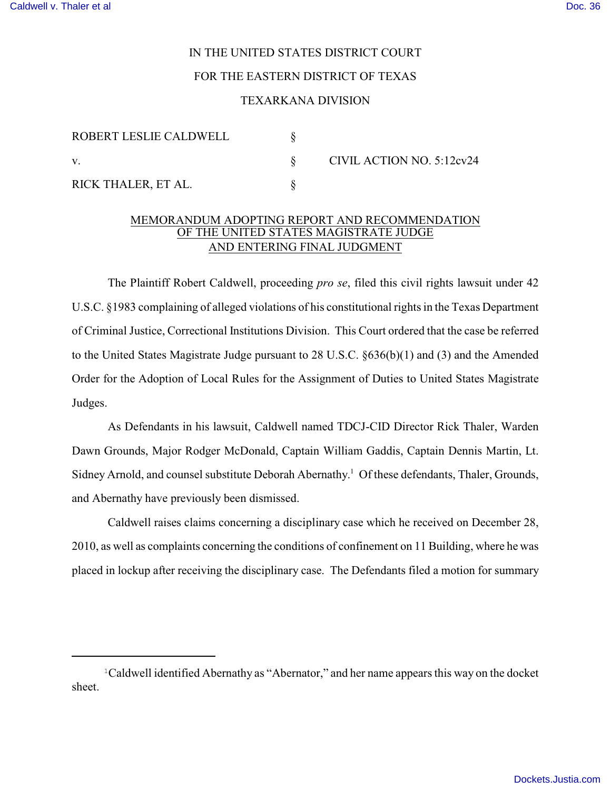## IN THE UNITED STATES DISTRICT COURT FOR THE EASTERN DISTRICT OF TEXAS

## TEXARKANA DIVISION

| ROBERT LESLIE CALDWELL |  | CIVIL ACTION NO. 5:12cv24 |
|------------------------|--|---------------------------|
| V.                     |  |                           |
| RICK THALER, ET AL.    |  |                           |

## MEMORANDUM ADOPTING REPORT AND RECOMMENDATION OF THE UNITED STATES MAGISTRATE JUDGE AND ENTERING FINAL JUDGMENT

The Plaintiff Robert Caldwell, proceeding *pro se*, filed this civil rights lawsuit under 42 U.S.C. §1983 complaining of alleged violations of his constitutional rights in the Texas Department of Criminal Justice, Correctional Institutions Division. This Court ordered that the case be referred to the United States Magistrate Judge pursuant to 28 U.S.C. §636(b)(1) and (3) and the Amended Order for the Adoption of Local Rules for the Assignment of Duties to United States Magistrate Judges.

As Defendants in his lawsuit, Caldwell named TDCJ-CID Director Rick Thaler, Warden Dawn Grounds, Major Rodger McDonald, Captain William Gaddis, Captain Dennis Martin, Lt. Sidney Arnold, and counsel substitute Deborah Abernathy.<sup>1</sup> Of these defendants, Thaler, Grounds, and Abernathy have previously been dismissed.

Caldwell raises claims concerning a disciplinary case which he received on December 28, 2010, as well as complaints concerning the conditions of confinement on 11 Building, where he was placed in lockup after receiving the disciplinary case. The Defendants filed a motion for summary

<sup>&</sup>lt;sup>1</sup>Caldwell identified Abernathy as "Abernator," and her name appears this way on the docket sheet.